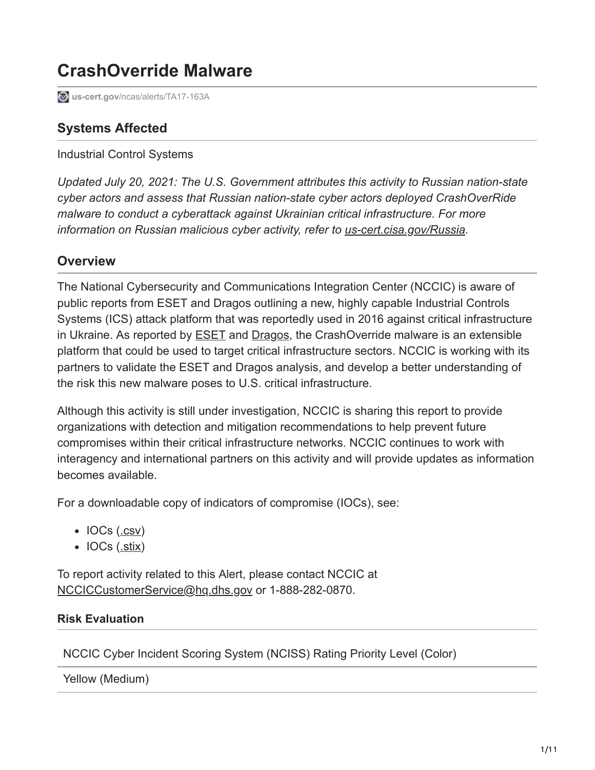# **CrashOverride Malware**

**us-cert.gov**[/ncas/alerts/TA17-163A](https://www.us-cert.gov/ncas/alerts/TA17-163A)

# **Systems Affected**

Industrial Control Systems

*Updated July 20, 2021: The U.S. Government attributes this activity to Russian nation-state cyber actors and assess that Russian nation-state cyber actors deployed CrashOverRide malware to conduct a cyberattack against Ukrainian critical infrastructure. For more information on Russian malicious cyber activity, refer to [us-cert.cisa.gov/Russia.](https://us-cert.cisa.gov/russia)*

# **Overview**

The National Cybersecurity and Communications Integration Center (NCCIC) is aware of public reports from ESET and Dragos outlining a new, highly capable Industrial Controls Systems (ICS) attack platform that was reportedly used in 2016 against critical infrastructure in Ukraine. As reported by [ESET](https://www.welivesecurity.com/wp-content/uploads/2017/06/Win32_Industroyer.pdf) and [Dragos,](https://www.dragos.com/blog/crashoverride/) the CrashOverride malware is an extensible platform that could be used to target critical infrastructure sectors. NCCIC is working with its partners to validate the ESET and Dragos analysis, and develop a better understanding of the risk this new malware poses to U.S. critical infrastructure.

Although this activity is still under investigation, NCCIC is sharing this report to provide organizations with detection and mitigation recommendations to help prevent future compromises within their critical infrastructure networks. NCCIC continues to work with interagency and international partners on this activity and will provide updates as information becomes available.

For a downloadable copy of indicators of compromise (IOCs), see:

- IOCs ([.csv\)](https://www.us-cert.gov/sites/default/files/publications/TA-17-163A_IOCs.csv)
- $\bullet$  IOCs ([.stix\)](https://www.us-cert.gov/sites/default/files/publications/TA-17-163A_IOCs.stix.XML)

To report activity related to this Alert, please contact NCCIC at [NCCICCustomerService@hq.dhs.gov](http://10.10.0.46/mailto:NCCICCustomerService@hq.dhs.gov) or 1-888-282-0870.

#### **Risk Evaluation**

NCCIC Cyber Incident Scoring System (NCISS) Rating Priority Level (Color)

Yellow (Medium)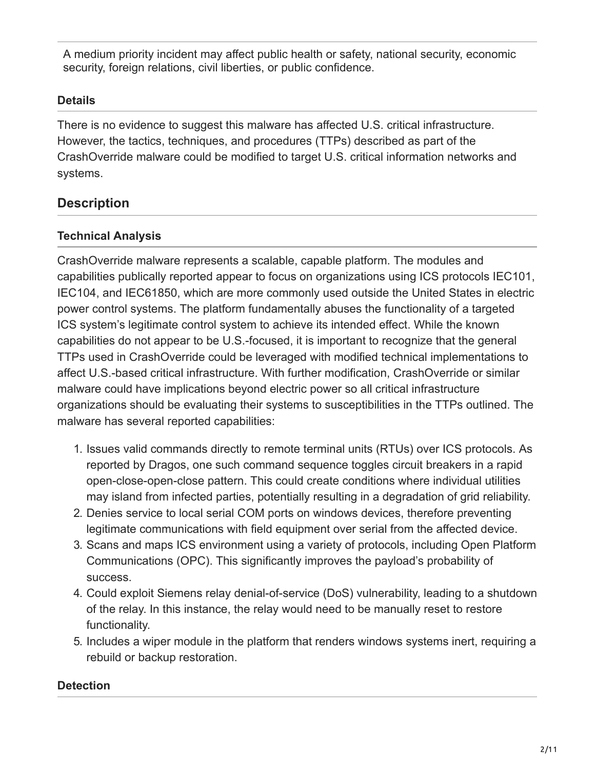A medium priority incident may affect public health or safety, national security, economic security, foreign relations, civil liberties, or public confidence.

## **Details**

There is no evidence to suggest this malware has affected U.S. critical infrastructure. However, the tactics, techniques, and procedures (TTPs) described as part of the CrashOverride malware could be modified to target U.S. critical information networks and systems.

# **Description**

## **Technical Analysis**

CrashOverride malware represents a scalable, capable platform. The modules and capabilities publically reported appear to focus on organizations using ICS protocols IEC101, IEC104, and IEC61850, which are more commonly used outside the United States in electric power control systems. The platform fundamentally abuses the functionality of a targeted ICS system's legitimate control system to achieve its intended effect. While the known capabilities do not appear to be U.S.-focused, it is important to recognize that the general TTPs used in CrashOverride could be leveraged with modified technical implementations to affect U.S.-based critical infrastructure. With further modification, CrashOverride or similar malware could have implications beyond electric power so all critical infrastructure organizations should be evaluating their systems to susceptibilities in the TTPs outlined. The malware has several reported capabilities:

- 1. Issues valid commands directly to remote terminal units (RTUs) over ICS protocols. As reported by Dragos, one such command sequence toggles circuit breakers in a rapid open-close-open-close pattern. This could create conditions where individual utilities may island from infected parties, potentially resulting in a degradation of grid reliability.
- 2. Denies service to local serial COM ports on windows devices, therefore preventing legitimate communications with field equipment over serial from the affected device.
- 3. Scans and maps ICS environment using a variety of protocols, including Open Platform Communications (OPC). This significantly improves the payload's probability of success.
- 4. Could exploit Siemens relay denial-of-service (DoS) vulnerability, leading to a shutdown of the relay. In this instance, the relay would need to be manually reset to restore functionality.
- 5. Includes a wiper module in the platform that renders windows systems inert, requiring a rebuild or backup restoration.

## **Detection**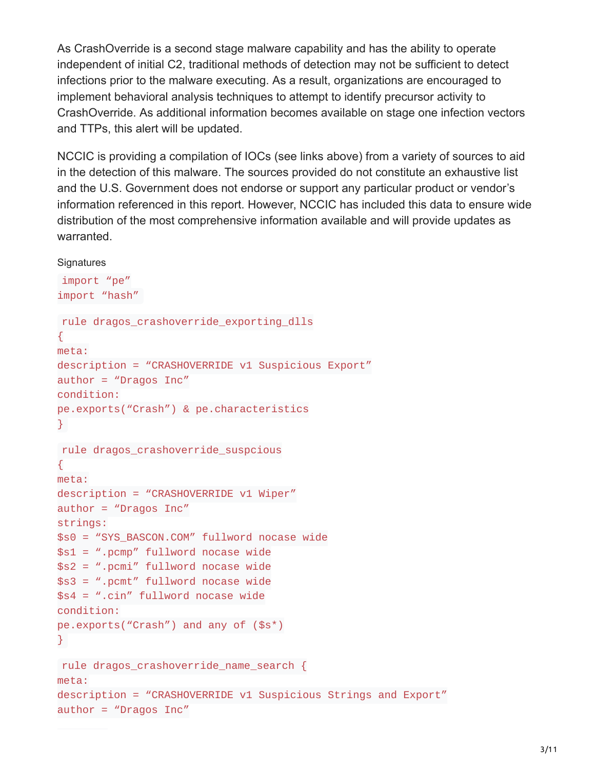As CrashOverride is a second stage malware capability and has the ability to operate independent of initial C2, traditional methods of detection may not be sufficient to detect infections prior to the malware executing. As a result, organizations are encouraged to implement behavioral analysis techniques to attempt to identify precursor activity to CrashOverride. As additional information becomes available on stage one infection vectors and TTPs, this alert will be updated.

NCCIC is providing a compilation of IOCs (see links above) from a variety of sources to aid in the detection of this malware. The sources provided do not constitute an exhaustive list and the U.S. Government does not endorse or support any particular product or vendor's information referenced in this report. However, NCCIC has included this data to ensure wide distribution of the most comprehensive information available and will provide updates as warranted.

#### **Signatures**

```
import "pe"
import "hash"
rule dragos_crashoverride_exporting_dlls
{
meta:
description = "CRASHOVERRIDE v1 Suspicious Export"
author = "Dragos Inc"condition:
pe.exports("Crash") & pe.characteristics
}
rule dragos_crashoverride_suspcious
{
meta:
description = "CRASHOVERRIDE v1 Wiper"
author = "Dragos Inc"
strings:
$s0 = "SYS_BASCON.COM" fullword nocase wide
$s1 = ".pcmp" fullword nocase wide
$s2 = ".pcmi" fullword nocase wide
$s3 = ".pcmt" fullword nocase wide
$s4 = ".cin" fullword nocase wide
condition:
pe.exports("Crash") and any of ($s*)
}
rule dragos_crashoverride_name_search {
meta:
description = "CRASHOVERRIDE v1 Suspicious Strings and Export"
author = "Dragos Inc"
```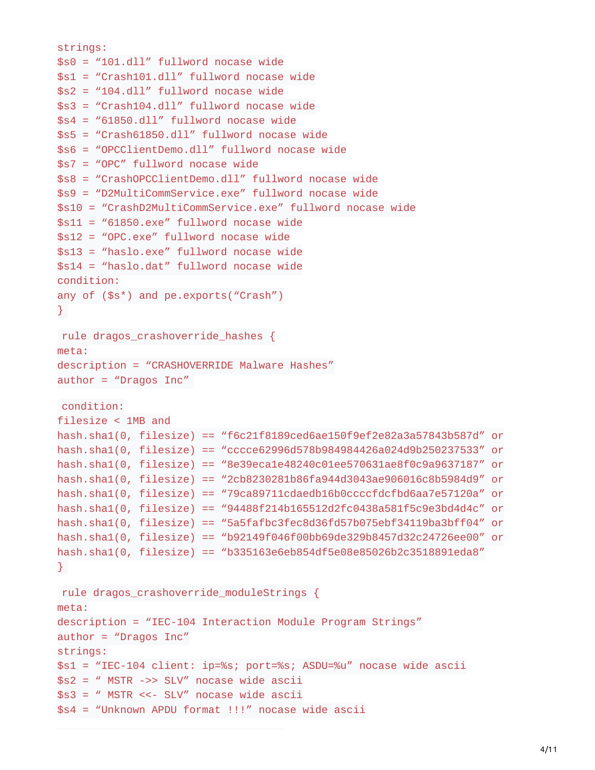```
strings:
$s0 = "101.dll" fullword nocase wide
$s1 = "Crash101.dll" fullword nocase wide
$s2 = "104.d11" fullword nocase wide
$s3 = "Crash104.dll" fullword nocase wide
$s4 = "61850.d11" fullword nocase wide
$55 = "Crash61850.dll" fullword nocase wide
$s6 = "OPCClientDemo.dll" fullword nocase wide
$s7 = "OPC" fullword nocase wide
$s8 = "CrashOPCClientDemo.dll" fullword nocase wide
$s9 = "D2MultiCommService.exe" fullword nocase wide
$s10 = "CrashD2MultiCommService.exe" fullword nocase wide
$s11 = "61850.exe" fullword nocase wide
$s12 = "OPC.exe" fullword nocase wide
$s13 = "haslo.exe" fullword nocase wide
$s14 = "haslo.dat" fullword nocase wide
condition:
any of ($s*) and pe.exports("Crash")
}
rule dragos_crashoverride_hashes {
meta:
description = "CRASHOVERRIDE Malware Hashes"
author = "Dragos Inc"condition:
filesize < 1MB and
hash.sha1(0, filesize) == "f6c21f8189ced6ae150f9ef2e82a3a57843b587d" or
hash.sha1(0, filesize) == "cccce62996d578b984984426a024d9b250237533" or
hash.sha1(0, filesize) == "8e39eca1e48240c01ee570631ae8f0c9a9637187" or
hash.sha1(0, filesize) == "2cb8230281b86fa944d3043ae906016c8b5984d9" or
hash.sha1(0, filesize) == "79ca89711cdaedb16b0ccccfdcfbd6aa7e57120a" or
hash.sha1(0, filesize) == "94488f214b165512d2fc0438a581f5c9e3bd4d4c" or
hash.sha1(0, filesize) == "5a5fafbc3fec8d36fd57b075ebf34119ba3bff04" or
hash.sha1(0, filesize) == "b92149f046f00bb69de329b8457d32c24726ee00" or
hash.sha1(0, filesize) == "b335163e6eb854df5e08e85026b2c3518891eda8"
}
rule dragos_crashoverride_moduleStrings {
meta:
description = "IEC-104 Interaction Module Program Strings"
author = "Dragos Inc"strings:
$s1 = "IEC-104 client: ip=%s; port=%s; ASDU=%u" nocase wide ascii
$s2 = " MSTR ->> SLV" nocase wide ascii
$s3 = " MSTR <<- SLV" nocase wide ascii
$s4 = "Unknown APDU format !!!" nocase wide ascii
```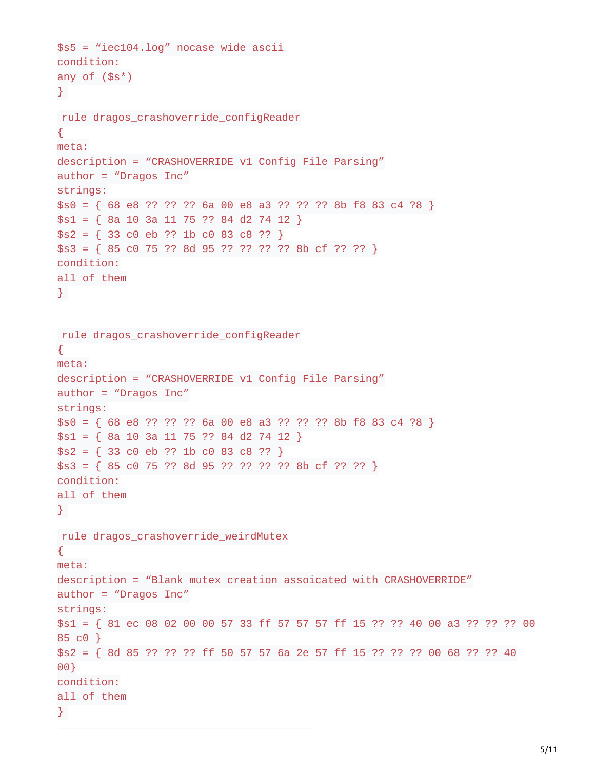```
$s5 = "iec104.log" nocase wide ascii
condition:
any of ($s^*)}
```

```
rule dragos_crashoverride_configReader
{
meta:
description = "CRASHOVERRIDE v1 Config File Parsing"
author = "Dragos Inc"
strings:
$s0 = { 68 e8 ?? ?? ?? 6a 00 e8 a3 ?? ?? ?? 8b f8 83 c4 ?8 }
$s1 = { 8a 10 3a 11 75 ?? 84 d2 74 12 }$s2 = { 33 \cdot 00 \cdot e} \div ?? \div 1b \cdot 00 \cdot 83 \cdot 08 \cdot ?? }$s3 = {85 \text{ c0 } 75 ?? 8d 95 ?? ?? ?? 8b cf ?? ?? }condition:
all of them
}
```

```
rule dragos_crashoverride_configReader
{
meta:
description = "CRASHOVERRIDE v1 Config File Parsing"
author = "Dragos Inc"
strings:
$s0 = { 68 e8 ?? ?? ?? 6a 00 e8 a3 ?? ?? 8b f8 83 c4 ?8 }$s1 = { 8a 10 3a 11 75 ?? 84 d2 74 12 }$s2 = { 33 \text{ } c0 \text{ } eb \text{ ?? } 1b \text{ } c0 \text{ } 83 \text{ } c8 \text{ } ?? }$s3 = {85 \text{ c0 } 75 ?? 8d 95 ?? ?? ?? 8b cf ?? ?? }condition:
all of them
}
rule dragos_crashoverride_weirdMutex
{
meta:
description = "Blank mutex creation assoicated with CRASHOVERRIDE"
author = "Dragos Inc"
strings:
$s1 = { 81 ec 08 02 00 00 57 33 ff 57 57 57 ff 15 ?? ?? 40 00 a3 ?? ?? ?? 00
85 c0 }
$s2 = {8d 85 ?? ?? ?? ff 50 57 57 6a 2e 57 ff 15 ?? ?? 00 68 ?? ?? 4000}
condition:
all of them
}
```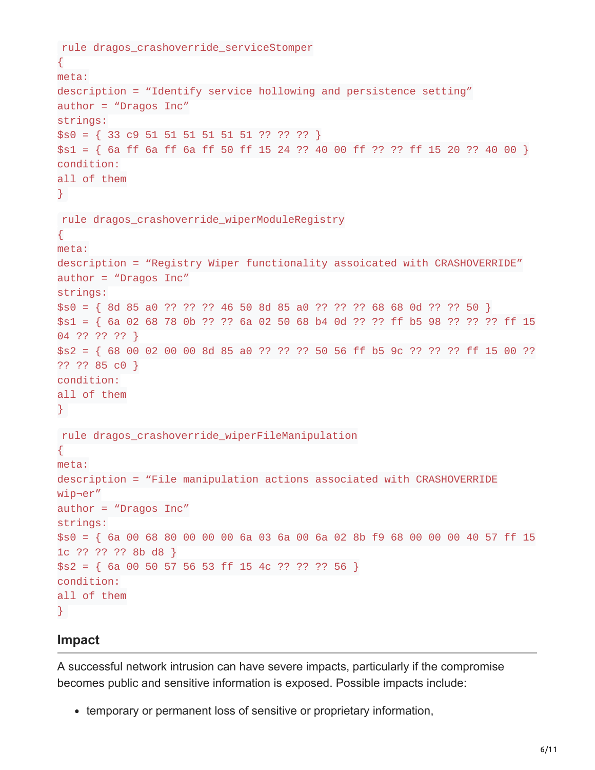```
rule dragos_crashoverride_serviceStomper
{
meta:
description = "Identify service hollowing and persistence setting"
author = "Dragos Inc"
strings:
$s0 = { 33 c9 51 51 51 51 51 51 ?? ?? }$s1 = {6a} ff 6a ff 6a ff 50 ff 15 24 ?? 40 00 ff ?? ?? ff 15 20 ?? 40 00 }
condition:
all of them
}
rule dragos_crashoverride_wiperModuleRegistry
{
meta:
description = "Registry Wiper functionality assoicated with CRASHOVERRIDE"
author = "Dragos Inc"
strings:
$s0 = { 8d 85 a0 ?? ?? ?? 46 50 8d 85 a0 ?? ?? ?? 68 68 0d ?? ?? 50 }
$s1 = {6a 02 68 78 0b ?? ?? 6a 02 50 68 b4 0d ?? ??  f f b5 98 ?? ?? ??  f f 1504 ?? ?? ?? }
$s2 = { 68 00 02 00 00 8d 85 a0 ?? ?? ?? 50 56 ff b5 9c ?? ?? ?? ff 15 00 ??
?? ?? 85 c0 }
condition:
all of them
}
rule dragos_crashoverride_wiperFileManipulation
{
meta:
description = "File manipulation actions associated with CRASHOVERRIDE
wip¬er"
author = "Dragos Inc"
strings:
$s0 = { 6a 00 68 80 00 00 00 6a 03 6a 00 6a 02 8b f9 68 00 00 00 40 57 ff 15
1c ?? ?? ?? 8b d8 }
$S2 = { 6a 00 50 57 56 53 ff 15 4c ?? ?? 56 }condition:
all of them
}
```
#### **Impact**

A successful network intrusion can have severe impacts, particularly if the compromise becomes public and sensitive information is exposed. Possible impacts include:

• temporary or permanent loss of sensitive or proprietary information,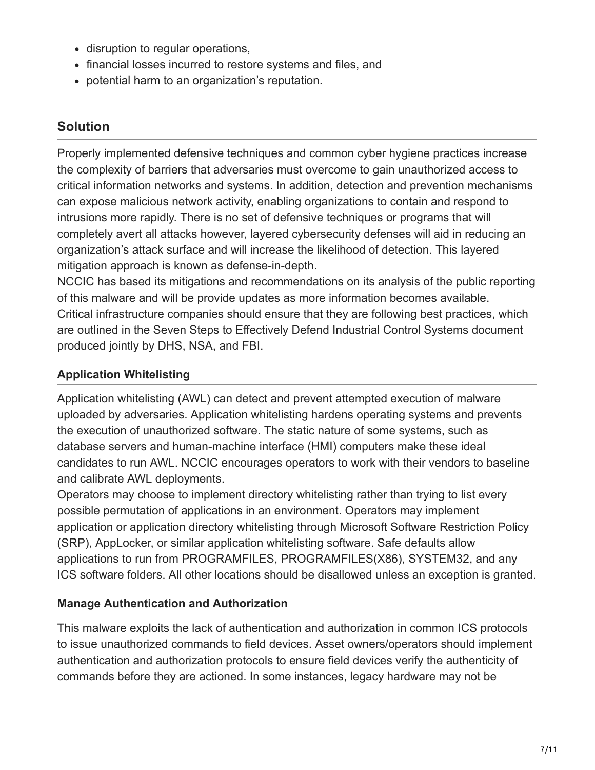- disruption to regular operations,
- financial losses incurred to restore systems and files, and
- potential harm to an organization's reputation.

# **Solution**

Properly implemented defensive techniques and common cyber hygiene practices increase the complexity of barriers that adversaries must overcome to gain unauthorized access to critical information networks and systems. In addition, detection and prevention mechanisms can expose malicious network activity, enabling organizations to contain and respond to intrusions more rapidly. There is no set of defensive techniques or programs that will completely avert all attacks however, layered cybersecurity defenses will aid in reducing an organization's attack surface and will increase the likelihood of detection. This layered mitigation approach is known as defense-in-depth.

NCCIC has based its mitigations and recommendations on its analysis of the public reporting of this malware and will be provide updates as more information becomes available. Critical infrastructure companies should ensure that they are following best practices, which are outlined in the [Seven Steps to Effectively Defend Industrial Control Systems](http://10.10.0.46/sites/default/files/documents/Seven%20Steps%20to%20Effectively%20Defend%20Industrial%20Control%20Systems_S508C.pdf) document produced jointly by DHS, NSA, and FBI.

## **Application Whitelisting**

Application whitelisting (AWL) can detect and prevent attempted execution of malware uploaded by adversaries. Application whitelisting hardens operating systems and prevents the execution of unauthorized software. The static nature of some systems, such as database servers and human-machine interface (HMI) computers make these ideal candidates to run AWL. NCCIC encourages operators to work with their vendors to baseline and calibrate AWL deployments.

Operators may choose to implement directory whitelisting rather than trying to list every possible permutation of applications in an environment. Operators may implement application or application directory whitelisting through Microsoft Software Restriction Policy (SRP), AppLocker, or similar application whitelisting software. Safe defaults allow applications to run from PROGRAMFILES, PROGRAMFILES(X86), SYSTEM32, and any ICS software folders. All other locations should be disallowed unless an exception is granted.

## **Manage Authentication and Authorization**

This malware exploits the lack of authentication and authorization in common ICS protocols to issue unauthorized commands to field devices. Asset owners/operators should implement authentication and authorization protocols to ensure field devices verify the authenticity of commands before they are actioned. In some instances, legacy hardware may not be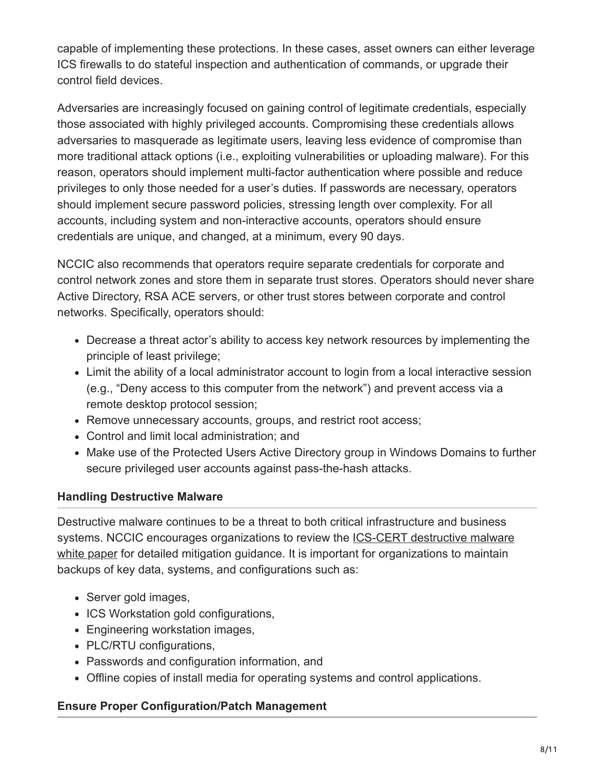capable of implementing these protections. In these cases, asset owners can either leverage ICS firewalls to do stateful inspection and authentication of commands, or upgrade their control field devices.

Adversaries are increasingly focused on gaining control of legitimate credentials, especially those associated with highly privileged accounts. Compromising these credentials allows adversaries to masquerade as legitimate users, leaving less evidence of compromise than more traditional attack options (i.e., exploiting vulnerabilities or uploading malware). For this reason, operators should implement multi-factor authentication where possible and reduce privileges to only those needed for a user's duties. If passwords are necessary, operators should implement secure password policies, stressing length over complexity. For all accounts, including system and non-interactive accounts, operators should ensure credentials are unique, and changed, at a minimum, every 90 days.

NCCIC also recommends that operators require separate credentials for corporate and control network zones and store them in separate trust stores. Operators should never share Active Directory, RSA ACE servers, or other trust stores between corporate and control networks. Specifically, operators should:

- Decrease a threat actor's ability to access key network resources by implementing the principle of least privilege;
- Limit the ability of a local administrator account to login from a local interactive session (e.g., "Deny access to this computer from the network") and prevent access via a remote desktop protocol session;
- Remove unnecessary accounts, groups, and restrict root access;
- Control and limit local administration; and
- Make use of the Protected Users Active Directory group in Windows Domains to further secure privileged user accounts against pass-the-hash attacks.

## **Handling Destructive Malware**

Destructive malware continues to be a threat to both critical infrastructure and business [systems. NCCIC encourages organizations to review the ICS-CERT destructive malware](https://www.us-cert.gov/sites/default/files/documents/Destructive_Malware_White_Paper_S508C.pdf) white paper for detailed mitigation guidance. It is important for organizations to maintain backups of key data, systems, and configurations such as:

- Server gold images,
- ICS Workstation gold configurations,
- Engineering workstation images,
- PLC/RTU configurations,
- Passwords and configuration information, and
- Offline copies of install media for operating systems and control applications.

## **Ensure Proper Configuration/Patch Management**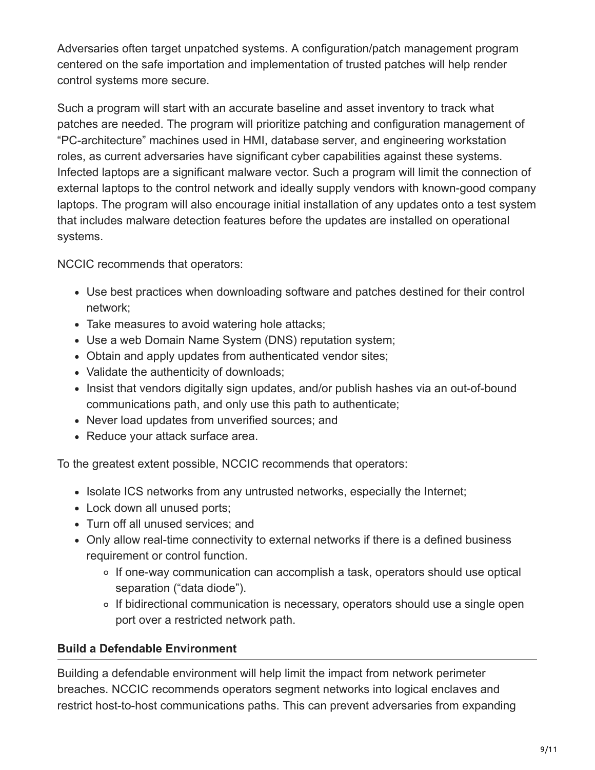Adversaries often target unpatched systems. A configuration/patch management program centered on the safe importation and implementation of trusted patches will help render control systems more secure.

Such a program will start with an accurate baseline and asset inventory to track what patches are needed. The program will prioritize patching and configuration management of "PC-architecture" machines used in HMI, database server, and engineering workstation roles, as current adversaries have significant cyber capabilities against these systems. Infected laptops are a significant malware vector. Such a program will limit the connection of external laptops to the control network and ideally supply vendors with known-good company laptops. The program will also encourage initial installation of any updates onto a test system that includes malware detection features before the updates are installed on operational systems.

NCCIC recommends that operators:

- Use best practices when downloading software and patches destined for their control network;
- Take measures to avoid watering hole attacks;
- Use a web Domain Name System (DNS) reputation system;
- Obtain and apply updates from authenticated vendor sites;
- Validate the authenticity of downloads;
- Insist that vendors digitally sign updates, and/or publish hashes via an out-of-bound communications path, and only use this path to authenticate;
- Never load updates from unverified sources; and
- Reduce your attack surface area.

To the greatest extent possible, NCCIC recommends that operators:

- Isolate ICS networks from any untrusted networks, especially the Internet;
- Lock down all unused ports;
- Turn off all unused services; and
- Only allow real-time connectivity to external networks if there is a defined business requirement or control function.
	- If one-way communication can accomplish a task, operators should use optical separation ("data diode").
	- If bidirectional communication is necessary, operators should use a single open port over a restricted network path.

## **Build a Defendable Environment**

Building a defendable environment will help limit the impact from network perimeter breaches. NCCIC recommends operators segment networks into logical enclaves and restrict host-to-host communications paths. This can prevent adversaries from expanding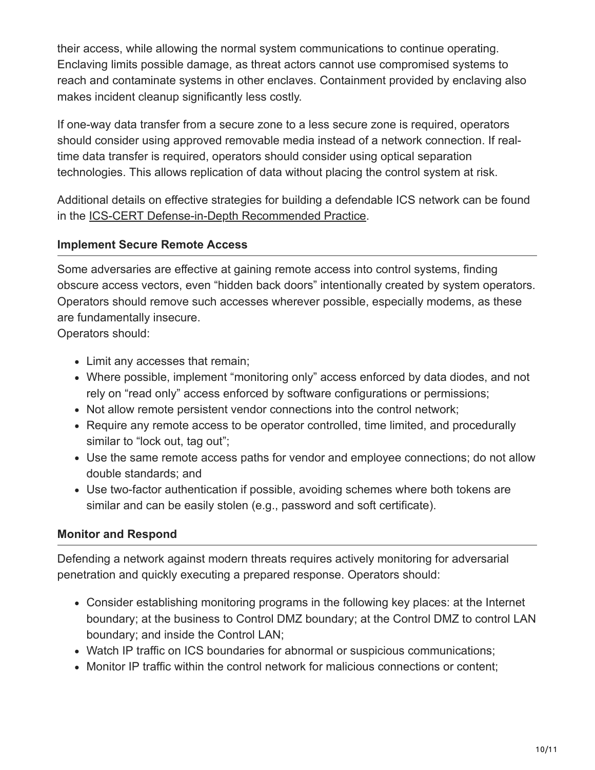their access, while allowing the normal system communications to continue operating. Enclaving limits possible damage, as threat actors cannot use compromised systems to reach and contaminate systems in other enclaves. Containment provided by enclaving also makes incident cleanup significantly less costly.

If one-way data transfer from a secure zone to a less secure zone is required, operators should consider using approved removable media instead of a network connection. If realtime data transfer is required, operators should consider using optical separation technologies. This allows replication of data without placing the control system at risk.

Additional details on effective strategies for building a defendable ICS network can be found in the [ICS-CERT Defense-in-Depth Recommended Practice.](https://www.us-cert.gov/ics/Abstract-Defense-Depth-RP)

#### **Implement Secure Remote Access**

Some adversaries are effective at gaining remote access into control systems, finding obscure access vectors, even "hidden back doors" intentionally created by system operators. Operators should remove such accesses wherever possible, especially modems, as these are fundamentally insecure.

Operators should:

- Limit any accesses that remain;
- Where possible, implement "monitoring only" access enforced by data diodes, and not rely on "read only" access enforced by software configurations or permissions;
- Not allow remote persistent vendor connections into the control network;
- Require any remote access to be operator controlled, time limited, and procedurally similar to "lock out, tag out";
- Use the same remote access paths for vendor and employee connections; do not allow double standards; and
- Use two-factor authentication if possible, avoiding schemes where both tokens are similar and can be easily stolen (e.g., password and soft certificate).

#### **Monitor and Respond**

Defending a network against modern threats requires actively monitoring for adversarial penetration and quickly executing a prepared response. Operators should:

- Consider establishing monitoring programs in the following key places: at the Internet boundary; at the business to Control DMZ boundary; at the Control DMZ to control LAN boundary; and inside the Control LAN;
- Watch IP traffic on ICS boundaries for abnormal or suspicious communications;
- Monitor IP traffic within the control network for malicious connections or content;